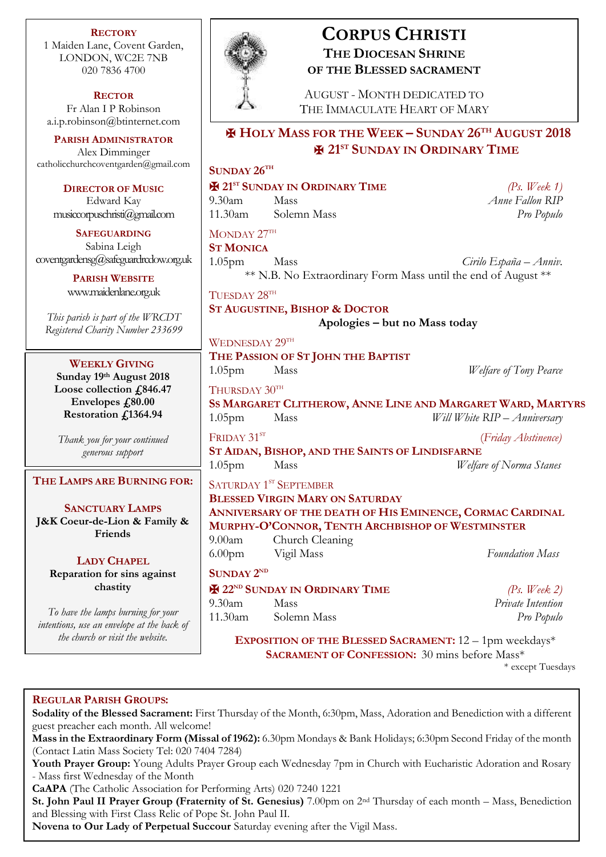**RECTORY** 1 Maiden Lane, Covent Garden, LONDON, WC2E 7NB 020 7836 4700

**RECTOR** Fr Alan I P Robinson [a.i.p.robinson@btinternet.com](mailto:a.i.p.robinson@btinternet.com)

**PARISH ADMINISTRATOR** Alex Dimminger [catholicchurchcoventgarden@gmail.com](mailto:catholicchurchcoventgarden@gmail.com)

**DIRECTOR OF MUSIC** Edward Kay musiccorpuschristi@gmail.com

**SAFEGUARDING** Sabina Leigh [coventgardensg@safeguardrcdow.org.uk](mailto:coventgardensg@safeguardrcdow.org.uk)

> **PARISH WEBSITE** [www.maidenlane.org.uk](http://www.maidenlane.org.uk/)

*This parish is part of the WRCDT Registered Charity Number 233699*

**WEEKLY GIVING Sunday 19th August 2018 Loose collection £846.47** Envelopes  $\textit{f}_280.00$ **Restoration £1364.94**

*Thank you for your continued generous support*

**THE LAMPS ARE BURNING FOR:**

**SANCTUARY LAMPS J&K Coeur-de-Lion & Family & Friends**

**LADY CHAPEL Reparation for sins against chastity**

*To have the lamps burning for your intentions, use an envelope at the back of* 



# **CORPUS CHRISTI THE DIOCESAN SHRINE OF THE BLESSED SACRAMENT**

AUGUST - MONTH DEDICATED TO THE IMMACULATE HEART OF MARY

# ✠ **HOLY MASS FOR THE WEEK – SUNDAY 26TH AUGUST 2018** ✠ **21ST SUNDAY IN ORDINARY TIME**

# **SUNDAY 26TH**

✠ **21ST SUNDAY IN ORDINARY TIME** *(Ps. Week 1)* 9.30am Mass *Anne Fallon RIP* 11.30am Solemn Mass *Pro Populo* MONDAY  $27^{\text{th}}$ **ST MONICA**

1.05pm Mass *Cirilo España – Anniv.* \*\* N.B. No Extraordinary Form Mass until the end of August \*\*

TUESDAY 28TH

**ST AUGUSTINE, BISHOP & DOCTOR**

WEDNESDAY 29TH

**Apologies – but no Mass today**

**THE PASSION OF ST JOHN THE BAPTIST** 1.05pm Mass *Welfare of Tony Pearce* THURSDAY 30TH **SS MARGARET CLITHEROW, ANNE LINE AND MARGARET WARD, MARTYRS** 1.05pm Mass *Will White RIP – Anniversary*

FRIDAY 31<sup>ST</sup> (*Friday Abstinence)* **ST AIDAN, BISHOP, AND THE SAINTS OF LINDISFARNE** 1.05pm Mass *Welfare of Norma Stanes*

SATURDAY 1<sup>st</sup> SEPTEMBER **BLESSED VIRGIN MARY ON SATURDAY ANNIVERSARY OF THE DEATH OF HIS EMINENCE, CORMAC CARDINAL MURPHY-O'CONNOR, TENTH ARCHBISHOP OF WESTMINSTER** 9.00am Church Cleaning 6.00pm Vigil Mass *Foundation Mass*

## **SUNDAY**  $2^{ND}$

✠ **22ND SUNDAY IN ORDINARY TIME** *(Ps. Week 2)* 9.30am Mass *Private Intention* 11.30am Solemn Mass *Pro Populo*

*the church or visit the website.* **EXPOSITION OF THE BLESSED SACRAMENT:** 12 – 1pm weekdays\* **SACRAMENT OF CONFESSION:** 30 mins before Mass\*

\* except Tuesdays

## **REGULAR PARISH GROUPS:**

**Sodality of the Blessed Sacrament:** First Thursday of the Month, 6:30pm, Mass, Adoration and Benediction with a different guest preacher each month. All welcome!

**Mass in the Extraordinary Form (Missal of 1962):** 6.30pm Mondays & Bank Holidays; 6:30pm Second Friday of the month (Contact Latin Mass Society Tel: 020 7404 7284)

**Youth Prayer Group:** Young Adults Prayer Group each Wednesday 7pm in Church with Eucharistic Adoration and Rosary - Mass first Wednesday of the Month

**CaAPA** (The Catholic Association for Performing Arts) 020 7240 1221

**St. John Paul II Prayer Group (Fraternity of St. Genesius)** 7.00pm on 2nd Thursday of each month – Mass, Benediction and Blessing with First Class Relic of Pope St. John Paul II.

**Novena to Our Lady of Perpetual Succour** Saturday evening after the Vigil Mass.